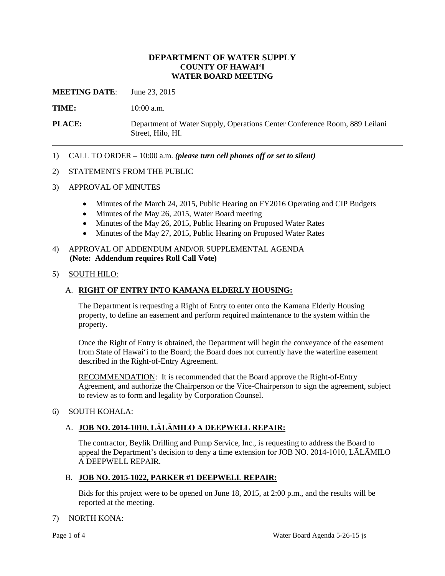## **DEPARTMENT OF WATER SUPPLY COUNTY OF HAWAI'I WATER BOARD MEETING**

**MEETING DATE**: June 23, 2015

TIME:  $10:00$  a.m.

**PLACE:** Department of Water Supply, Operations Center Conference Room, 889 Leilani Street, Hilo, HI.

1) CALL TO ORDER – 10:00 a.m. *(please turn cell phones off or set to silent)* 

#### 2) STATEMENTS FROM THE PUBLIC

- 3) APPROVAL OF MINUTES
	- Minutes of the March 24, 2015, Public Hearing on FY2016 Operating and CIP Budgets
	- Minutes of the May 26, 2015, Water Board meeting
	- Minutes of the May 26, 2015, Public Hearing on Proposed Water Rates
	- Minutes of the May 27, 2015, Public Hearing on Proposed Water Rates

#### 4) APPROVAL OF ADDENDUM AND/OR SUPPLEMENTAL AGENDA **(Note: Addendum requires Roll Call Vote)**

## 5) SOUTH HILO:

## A. **RIGHT OF ENTRY INTO KAMANA ELDERLY HOUSING:**

The Department is requesting a Right of Entry to enter onto the Kamana Elderly Housing property, to define an easement and perform required maintenance to the system within the property.

 from State of Hawai'i to the Board; the Board does not currently have the waterline easement Once the Right of Entry is obtained, the Department will begin the conveyance of the easement described in the Right-of-Entry Agreement.

RECOMMENDATION: It is recommended that the Board approve the Right-of-Entry Agreement, and authorize the Chairperson or the Vice-Chairperson to sign the agreement, subject to review as to form and legality by Corporation Counsel.

## 6) SOUTH KOHALA:

## A. **JOB NO. 2014-1010, LĀLĀMILO A DEEPWELL REPAIR:**

The contractor, Beylik Drilling and Pump Service, Inc., is requesting to address the Board to appeal the Department's decision to deny a time extension for JOB NO. 2014-1010, LĀLĀMILO A DEEPWELL REPAIR.

#### B. **JOB NO. 2015-1022, PARKER #1 DEEPWELL REPAIR:**

Bids for this project were to be opened on June 18, 2015, at 2:00 p.m., and the results will be reported at the meeting.

## 7) NORTH KONA: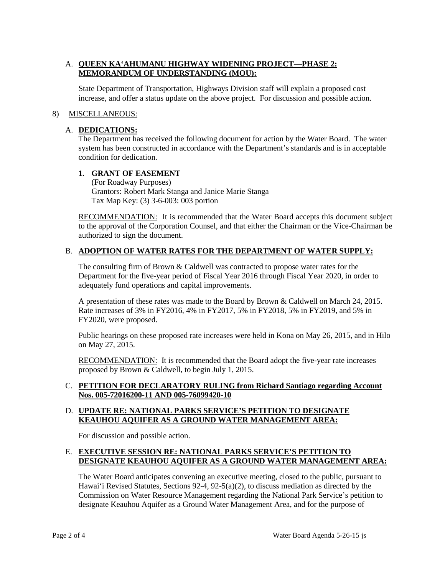# A. **QUEEN KA'AHUMANU HIGHWAY WIDENING PROJECT—PHASE 2: MEMORANDUM OF UNDERSTANDING (MOU):**

State Department of Transportation, Highways Division staff will explain a proposed cost increase, and offer a status update on the above project. For discussion and possible action.

## 8) MISCELLANEOUS:

## A. **DEDICATIONS:**

The Department has received the following document for action by the Water Board. The water system has been constructed in accordance with the Department's standards and is in acceptable condition for dedication.

## **1. GRANT OF EASEMENT**

(For Roadway Purposes) Grantors: Robert Mark Stanga and Janice Marie Stanga Tax Map Key: (3) 3-6-003: 003 portion

RECOMMENDATION: It is recommended that the Water Board accepts this document subject to the approval of the Corporation Counsel, and that either the Chairman or the Vice-Chairman be authorized to sign the document.

## B. **ADOPTION OF WATER RATES FOR THE DEPARTMENT OF WATER SUPPLY:**

 adequately fund operations and capital improvements. The consulting firm of Brown & Caldwell was contracted to propose water rates for the Department for the five-year period of Fiscal Year 2016 through Fiscal Year 2020, in order to

A presentation of these rates was made to the Board by Brown & Caldwell on March 24, 2015. Rate increases of 3% in FY2016, 4% in FY2017, 5% in FY2018, 5% in FY2019, and 5% in FY2020, were proposed.

Public hearings on these proposed rate increases were held in Kona on May 26, 2015, and in Hilo on May 27, 2015.

RECOMMENDATION: It is recommended that the Board adopt the five-year rate increases proposed by Brown & Caldwell, to begin July 1, 2015.

## C. **PETITION FOR DECLARATORY RULING from Richard Santiago regarding Account Nos. 005-72016200-11 AND 005-76099420-10**

## D. **UPDATE RE: NATIONAL PARKS SERVICE'S PETITION TO DESIGNATE KEAUHOU AQUIFER AS A GROUND WATER MANAGEMENT AREA:**

For discussion and possible action.

## E. **EXECUTIVE SESSION RE: NATIONAL PARKS SERVICE'S PETITION TO DESIGNATE KEAUHOU AQUIFER AS A GROUND WATER MANAGEMENT AREA:**

 Hawai'i Revised Statutes, Sections 92-4, 92-5(a)(2), to discuss mediation as directed by the Commission on Water Resource Management regarding the National Park Service's petition to designate Keauhou Aquifer as a Ground Water Management Area, and for the purpose of The Water Board anticipates convening an executive meeting, closed to the public, pursuant to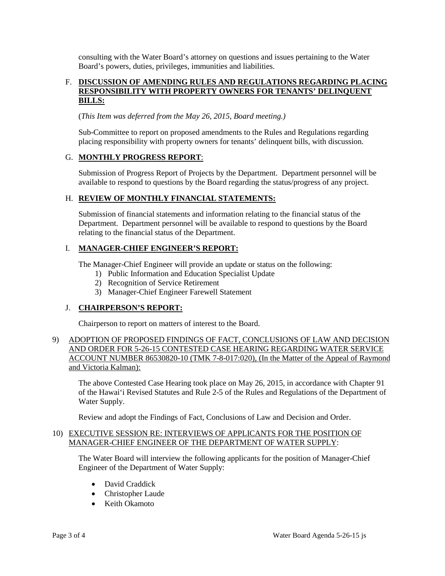consulting with the Water Board's attorney on questions and issues pertaining to the Water Board's powers, duties, privileges, immunities and liabilities.

## F. DISCUSSION OF AMENDING RULES AND REGULATIONS REGARDING PLACING **RESPONSIBILITY WITH PROPERTY OWNERS FOR TENANTS' DELINQUENT BILLS:**

(*This Item was deferred from the May 26, 2015, Board meeting.)* 

 Sub-Committee to report on proposed amendments to the Rules and Regulations regarding placing responsibility with property owners for tenants' delinquent bills, with discussion.

## G. **MONTHLY PROGRESS REPORT**:

Submission of Progress Report of Projects by the Department. Department personnel will be available to respond to questions by the Board regarding the status/progress of any project.

## H. **REVIEW OF MONTHLY FINANCIAL STATEMENTS:**

 Submission of financial statements and information relating to the financial status of the relating to the financial status of the Department. Department. Department personnel will be available to respond to questions by the Board

# I. **MANAGER-CHIEF ENGINEER'S REPORT:**

The Manager-Chief Engineer will provide an update or status on the following:

- 1) Public Information and Education Specialist Update
- 2) Recognition of Service Retirement
- 3) Manager-Chief Engineer Farewell Statement

# J. **CHAIRPERSON'S REPORT:**

Chairperson to report on matters of interest to the Board.

## 9) ADOPTION OF PROPOSED FINDINGS OF FACT, CONCLUSIONS OF LAW AND DECISION AND ORDER FOR 5-26-15 CONTESTED CASE HEARING REGARDING WATER SERVICE ACCOUNT NUMBER 86530820-10 (TMK 7-8-017:020), (In the Matter of the Appeal of Raymond and Victoria Kalman):

The above Contested Case Hearing took place on May 26, 2015, in accordance with Chapter 91 of the Hawai'i Revised Statutes and Rule 2-5 of the Rules and Regulations of the Department of Water Supply.

Review and adopt the Findings of Fact, Conclusions of Law and Decision and Order.

## 10) EXECUTIVE SESSION RE: INTERVIEWS OF APPLICANTS FOR THE POSITION OF MANAGER-CHIEF ENGINEER OF THE DEPARTMENT OF WATER SUPPLY:

 The Water Board will interview the following applicants for the position of Manager-Chief Engineer of the Department of Water Supply:

- David Craddick
- Christopher Laude
- Keith Okamoto